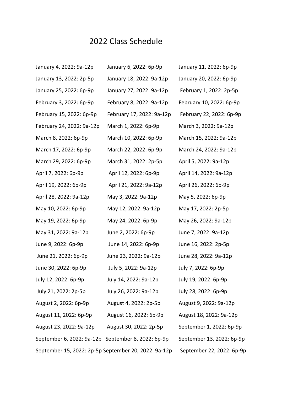## 2022 Class Schedule

| January 4, 2022: 9a-12p                              | January 6, 2022: 6p-9p    | January 11, 2022: 6p-9p   |
|------------------------------------------------------|---------------------------|---------------------------|
| January 13, 2022: 2p-5p                              | January 18, 2022: 9a-12p  | January 20, 2022: 6p-9p   |
| January 25, 2022: 6p-9p                              | January 27, 2022: 9a-12p  | February 1, 2022: 2p-5p   |
| February 3, 2022: 6p-9p                              | February 8, 2022: 9a-12p  | February 10, 2022: 6p-9p  |
| February 15, 2022: 6p-9p                             | February 17, 2022: 9a-12p | February 22, 2022: 6p-9p  |
| February 24, 2022: 9a-12p                            | March 1, 2022: 6p-9p      | March 3, 2022: 9a-12p     |
| March 8, 2022: 6p-9p                                 | March 10, 2022: 6p-9p     | March 15, 2022: 9a-12p    |
| March 17, 2022: 6p-9p                                | March 22, 2022: 6p-9p     | March 24, 2022: 9a-12p    |
| March 29, 2022: 6p-9p                                | March 31, 2022: 2p-5p     | April 5, 2022: 9a-12p     |
| April 7, 2022: 6p-9p                                 | April 12, 2022: 6p-9p     | April 14, 2022: 9a-12p    |
| April 19, 2022: 6p-9p                                | April 21, 2022: 9a-12p    | April 26, 2022: 6p-9p     |
| April 28, 2022: 9a-12p                               | May 3, 2022: 9a-12p       | May 5, 2022: 6p-9p        |
| May 10, 2022: 6p-9p                                  | May 12, 2022: 9a-12p      | May 17, 2022: 2p-5p       |
| May 19, 2022: 6p-9p                                  | May 24, 2022: 6p-9p       | May 26, 2022: 9a-12p      |
| May 31, 2022: 9a-12p                                 | June 2, 2022: 6p-9p       | June 7, 2022: 9a-12p      |
| June 9, 2022: 6p-9p                                  | June 14, 2022: 6p-9p      | June 16, 2022: 2p-5p      |
| June 21, 2022: 6p-9p                                 | June 23, 2022: 9a-12p     | June 28, 2022: 9a-12p     |
| June 30, 2022: 6p-9p                                 | July 5, 2022: 9a-12p      | July 7, 2022: 6p-9p       |
| July 12, 2022: 6p-9p                                 | July 14, 2022: 9a-12p     | July 19, 2022: 6p-9p      |
| July 21, 2022: 2p-5p                                 | July 26, 2022: 9a-12p     | July 28, 2022: 6p-9p      |
| August 2, 2022: 6p-9p                                | August 4, 2022: 2p-5p     | August 9, 2022: 9a-12p    |
| August 11, 2022: 6p-9p                               | August 16, 2022: 6p-9p    | August 18, 2022: 9a-12p   |
| August 23, 2022: 9a-12p August 30, 2022: 2p-5p       |                           | September 1, 2022: 6p-9p  |
| September 6, 2022: 9a-12p September 8, 2022: 6p-9p   |                           | September 13, 2022: 6p-9p |
| September 15, 2022: 2p-5p September 20, 2022: 9a-12p |                           | September 22, 2022: 6p-9p |